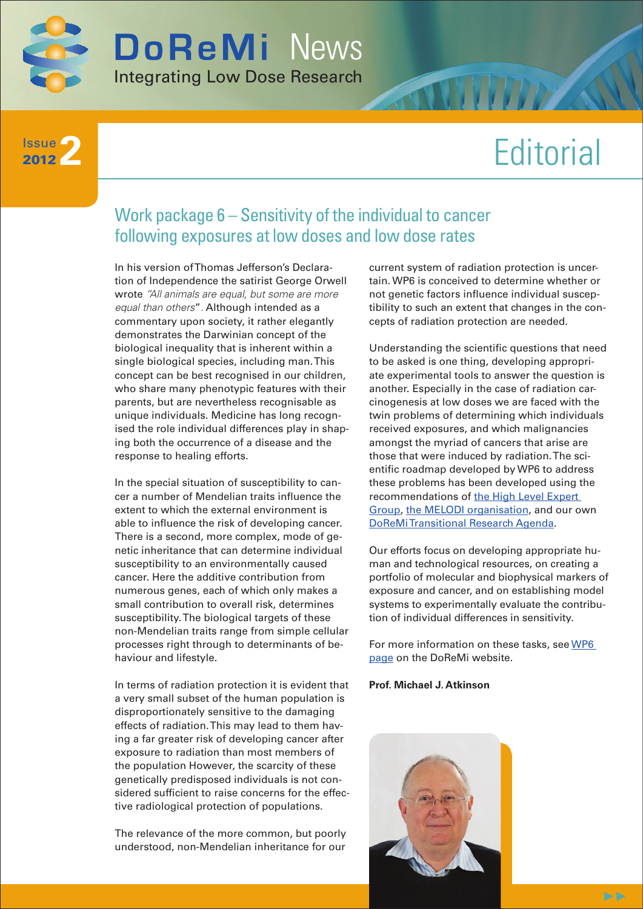

**2** Issue 2012

# **Editorial**

### Work package 6 – Sensitivity of the individual to cancer following exposures at low doses and low dose rates

In his version of Thomas Jefferson's Declaration of Independence the satirist George Orwell wrote *"All animals are equal, but some are more equal than others*"*.* Although intended as a commentary upon society, it rather elegantly demonstrates the Darwinian concept of the biological inequality that is inherent within a single biological species, including man. This concept can be best recognised in our children, who share many phenotypic features with their parents, but are nevertheless recognisable as unique individuals. Medicine has long recognised the role individual differences play in shaping both the occurrence of a disease and the response to healing efforts.

In the special situation of susceptibility to cancer a number of Mendelian traits influence the extent to which the external environment is able to influence the risk of developing cancer. There is a second, more complex, mode of genetic inheritance that can determine individual susceptibility to an environmentally caused cancer. Here the additive contribution from numerous genes, each of which only makes a small contribution to overall risk, determines susceptibility. The biological targets of these non-Mendelian traits range from simple cellular processes right through to determinants of behaviour and lifestyle.

In terms of radiation protection it is evident that a very small subset of the human population is disproportionately sensitive to the damaging effects of radiation. This may lead to them having a far greater risk of developing cancer after exposure to radiation than most members of the population However, the scarcity of these genetically predisposed individuals is not considered sufficient to raise concerns for the effective radiological protection of populations.

The relevance of the more common, but poorly understood, non-Mendelian inheritance for our current system of radiation protection is uncertain. WP6 is conceived to determine whether or not genetic factors influence individual susceptibility to such an extent that changes in the concepts of radiation protection are needed.

Understanding the scientific questions that need to be asked is one thing, developing appropriate experimental tools to answer the question is another. Especially in the case of radiation carcinogenesis at low doses we are faced with the twin problems of determining which individuals received exposures, and which malignancies amongst the myriad of cancers that arise are those that were induced by radiation. The scientific roadmap developed by WP6 to address these problems has been developed using the recommendations of [the High Level Expert](http://www.hleg.de/)  [Group,](http://www.hleg.de/) [the MELODI organisation,](http://www.melodi-online.eu/) and our own [DoReMi Transitional Research Agenda.](http://www.doremi-noe.net/pdf/doremi_TRA/DoReMi_TRA_publishable_2010-09-20.pdf)

Our efforts focus on developing appropriate human and technological resources, on creating a portfolio of molecular and biophysical markers of exposure and cancer, and on establishing model systems to experimentally evaluate the contribution of individual differences in sensitivity.

For more information on these tasks, see [WP6](http://www.doremi-noe.net/wp6.html)  [page](http://www.doremi-noe.net/wp6.html) on the DoReMi website.

#### **Prof. Michael J. Atkinson**